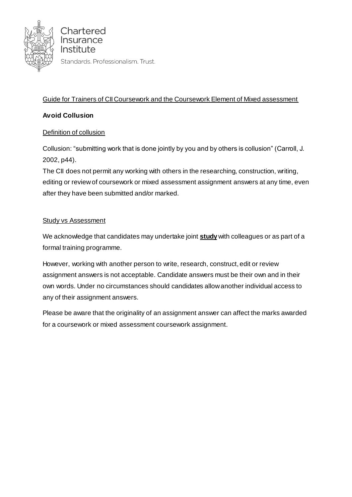

## Guide for Trainers of CII Coursework and the Coursework Element of Mixed assessment

## **Avoid Collusion**

### Definition of collusion

Collusion: "submitting work that is done jointly by you and by others is collusion" (Carroll, J. 2002, p44).

The CII does not permit any working with others in the researching, construction, writing, editing or review of coursework or mixed assessment assignment answers at any time, even after they have been submitted and/or marked.

#### **Study vs Assessment**

We acknowledge that candidates may undertake joint **study** with colleagues or as part of a formal training programme.

However, working with another person to write, research, construct, edit or review assignment answers is not acceptable. Candidate answers must be their own and in their own words. Under no circumstances should candidates allow another individual access to any of their assignment answers.

Please be aware that the originality of an assignment answer can affect the marks awarded for a coursework or mixed assessment coursework assignment.